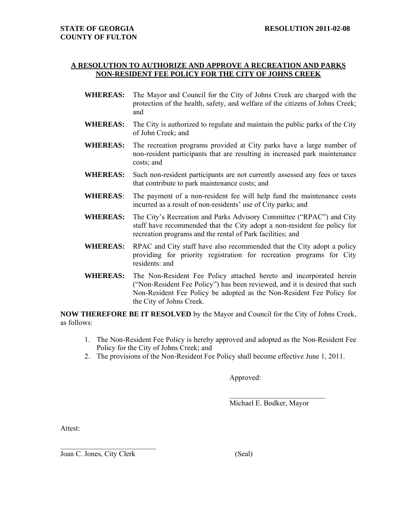## **A RESOLUTION TO AUTHORIZE AND APPROVE A RECREATION AND PARKS NON-RESIDENT FEE POLICY FOR THE CITY OF JOHNS CREEK**

- **WHEREAS:** The Mayor and Council for the City of Johns Creek are charged with the protection of the health, safety, and welfare of the citizens of Johns Creek; and
- **WHEREAS:** The City is authorized to regulate and maintain the public parks of the City of John Creek; and
- **WHEREAS:** The recreation programs provided at City parks have a large number of non-resident participants that are resulting in increased park maintenance costs; and
- **WHEREAS:** Such non-resident participants are not currently assessed any fees or taxes that contribute to park maintenance costs; and
- **WHEREAS**: The payment of a non-resident fee will help fund the maintenance costs incurred as a result of non-residents' use of City parks; and
- **WHEREAS:** The City's Recreation and Parks Advisory Committee ("RPAC") and City staff have recommended that the City adopt a non-resident fee policy for recreation programs and the rental of Park facilities; and
- **WHEREAS:** RPAC and City staff have also recommended that the City adopt a policy providing for priority registration for recreation programs for City residents: and
- **WHEREAS:** The Non-Resident Fee Policy attached hereto and incorporated herein ("Non-Resident Fee Policy") has been reviewed, and it is desired that such Non-Resident Fee Policy be adopted as the Non-Resident Fee Policy for the City of Johns Creek.

**NOW THEREFORE BE IT RESOLVED** by the Mayor and Council for the City of Johns Creek, as follows:

- 1. The Non-Resident Fee Policy is hereby approved and adopted as the Non-Resident Fee Policy for the City of Johns Creek; and
- 2. The provisions of the Non-Resident Fee Policy shall become effective June 1, 2011.

Approved:

Michael E. Bodker, Mayor

 $\mathcal{L}_\text{max}$  , where  $\mathcal{L}_\text{max}$ 

Attest:

Joan C. Jones, City Clerk (Seal)

 $\mathcal{L}_\text{max}$  , where  $\mathcal{L}_\text{max}$